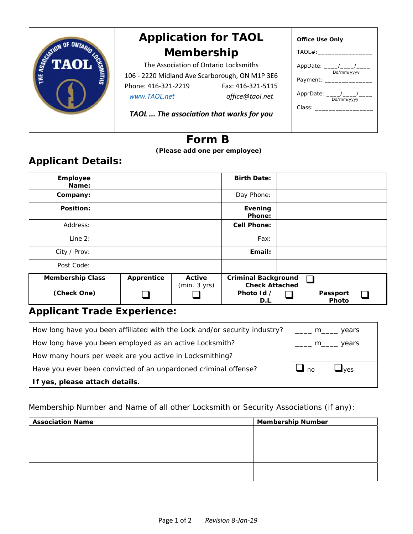|    | <b>Application for TAOL</b>                                                                                                                                                                                        | <b>Office Use Only</b> |  |  |  |
|----|--------------------------------------------------------------------------------------------------------------------------------------------------------------------------------------------------------------------|------------------------|--|--|--|
|    | Membership                                                                                                                                                                                                         | $T AOL#$ :             |  |  |  |
| гA | The Association of Ontario Locksmiths<br>106 - 2220 Midland Ave Scarborough, ON M1P 3E6<br>Phone: 416-321-2219<br>Fax: 416-321-5115<br>office@taol.net<br>www.TAOL.net<br>TAOL  The association that works for you |                        |  |  |  |
|    |                                                                                                                                                                                                                    |                        |  |  |  |

## **Form B**

 **(Please add one per employee)**

## **Applicant Details:**

| Employee<br>Name:       |            |                        | <b>Birth Date:</b>                                  |                   |  |
|-------------------------|------------|------------------------|-----------------------------------------------------|-------------------|--|
| Company:                |            |                        | Day Phone:                                          |                   |  |
| Position:               |            |                        | Evening<br>Phone:                                   |                   |  |
| Address:                |            |                        | Cell Phone:                                         |                   |  |
| Line $2:$               |            |                        | Fax:                                                |                   |  |
| City / Prov:            |            |                        | Email:                                              |                   |  |
| Post Code:              |            |                        |                                                     |                   |  |
| <b>Membership Class</b> | Apprentice | Active<br>(min. 3 yrs) | <b>Criminal Background</b><br><b>Check Attached</b> |                   |  |
| (Check One)             |            |                        | Photo Id /<br>D.L.                                  | Passport<br>Photo |  |

## **Applicant Trade Experience:**

| How long have you been affiliated with the Lock and/or security industry? ____ m____ years |                       |                           |
|--------------------------------------------------------------------------------------------|-----------------------|---------------------------|
| How long have you been employed as an active Locksmith?                                    | $\frac{m}{1}$ m vears |                           |
| How many hours per week are you active in Locksmithing?                                    |                       |                           |
| Have you ever been convicted of an unpardoned criminal offense?                            | $\Box$ no             | $\mathbf{J}_{\text{ves}}$ |
| If yes, please attach details.                                                             |                       |                           |

Membership Number and Name of all other Locksmith or Security Associations (if any):

| <b>Association Name</b> | <b>Membership Number</b> |  |  |  |
|-------------------------|--------------------------|--|--|--|
|                         |                          |  |  |  |
|                         |                          |  |  |  |
|                         |                          |  |  |  |
|                         |                          |  |  |  |
|                         |                          |  |  |  |
|                         |                          |  |  |  |